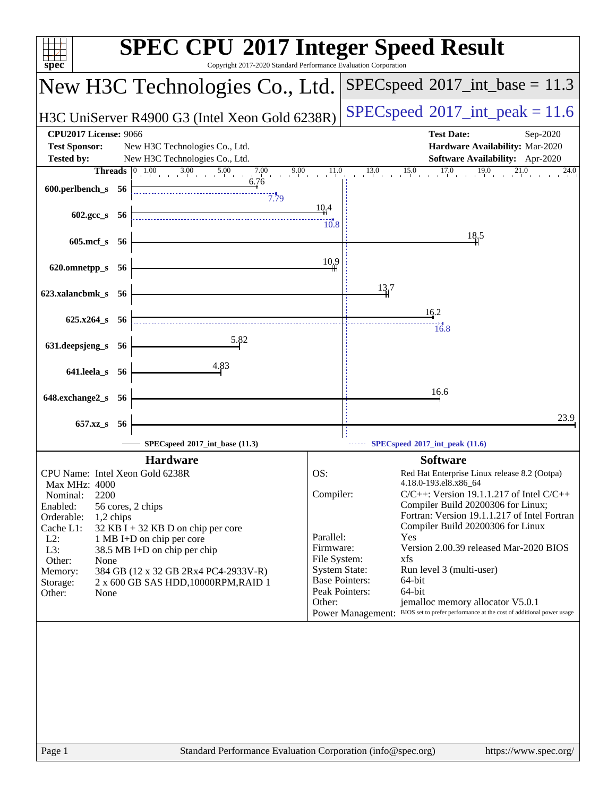| spec <sup>®</sup>                                                                                                                                                                                                                                                                                                                                                                                                                                                             | <b>SPEC CPU®2017 Integer Speed Result</b><br>Copyright 2017-2020 Standard Performance Evaluation Corporation                                                                                                                                                                                                                                                                                                                                                                                                                                                                                                                                          |
|-------------------------------------------------------------------------------------------------------------------------------------------------------------------------------------------------------------------------------------------------------------------------------------------------------------------------------------------------------------------------------------------------------------------------------------------------------------------------------|-------------------------------------------------------------------------------------------------------------------------------------------------------------------------------------------------------------------------------------------------------------------------------------------------------------------------------------------------------------------------------------------------------------------------------------------------------------------------------------------------------------------------------------------------------------------------------------------------------------------------------------------------------|
| New H3C Technologies Co., Ltd.                                                                                                                                                                                                                                                                                                                                                                                                                                                | $SPEC speed^{\circ}2017\_int\_base = 11.3$                                                                                                                                                                                                                                                                                                                                                                                                                                                                                                                                                                                                            |
| H3C UniServer R4900 G3 (Intel Xeon Gold 6238R)                                                                                                                                                                                                                                                                                                                                                                                                                                | $SPEC speed^{\circ}2017\_int\_peak = 11.6$                                                                                                                                                                                                                                                                                                                                                                                                                                                                                                                                                                                                            |
| <b>CPU2017 License: 9066</b><br><b>Test Sponsor:</b><br>New H3C Technologies Co., Ltd.<br>New H3C Technologies Co., Ltd.<br><b>Tested by:</b><br><b>Threads</b> $\begin{bmatrix} 0 & 1.00 & 3.00 & 5.00 & 7.00 & 9.00 & 11.0 \\ 1 & 0 & 0 & 0 & 0 & 0 \\ 0 & 0 & 0 & 0 & 0 & 0 \\ 0 & 0 & 0 & 0 & 0 & 0 \\ 0 & 0 & 0 & 0 & 0 & 0 \\ 0 & 0 & 0 & 0 & 0 & 0 \\ 0 & 0 & 0 & 0 & 0 & 0 \\ 0 & 0 & 0 & 0 & 0 & 0 \\ 0 & 0 & 0 & 0 & 0 & 0 \\ 0 & 0 & 0 & 0 & 0 & 0 \\ 0 &$<br>6.76 | <b>Test Date:</b><br>Sep-2020<br>Hardware Availability: Mar-2020<br><b>Software Availability:</b> Apr-2020<br>$13.0$ $15.0$ $17.0$ $19.0$ $21.0$<br>24.0                                                                                                                                                                                                                                                                                                                                                                                                                                                                                              |
| $600.$ perlbench_s 56<br>7.79<br>602.gcc_s 56                                                                                                                                                                                                                                                                                                                                                                                                                                 | 10.4<br>10.8                                                                                                                                                                                                                                                                                                                                                                                                                                                                                                                                                                                                                                          |
| 605.mcf_s 56<br>620.omnetpp_s 56                                                                                                                                                                                                                                                                                                                                                                                                                                              | 18,5<br>10.9                                                                                                                                                                                                                                                                                                                                                                                                                                                                                                                                                                                                                                          |
| 623.xalancbmk_s 56<br>$625.x264_s$ 56                                                                                                                                                                                                                                                                                                                                                                                                                                         | 13.7<br>16.2                                                                                                                                                                                                                                                                                                                                                                                                                                                                                                                                                                                                                                          |
| 5.82<br>631.deepsjeng_s 56                                                                                                                                                                                                                                                                                                                                                                                                                                                    | 16.8                                                                                                                                                                                                                                                                                                                                                                                                                                                                                                                                                                                                                                                  |
| 4.83<br>641.leela_s 56<br>648.exchange2_s 56                                                                                                                                                                                                                                                                                                                                                                                                                                  | 16.6                                                                                                                                                                                                                                                                                                                                                                                                                                                                                                                                                                                                                                                  |
| 657.xz <sub>_8</sub> 56<br>SPECspeed*2017_int_base (11.3)                                                                                                                                                                                                                                                                                                                                                                                                                     | 23.9<br>$\cdots$ SPECspeed <sup>®</sup> 2017_int_peak (11.6)                                                                                                                                                                                                                                                                                                                                                                                                                                                                                                                                                                                          |
| <b>Hardware</b><br>CPU Name: Intel Xeon Gold 6238R<br><b>Max MHz: 4000</b><br>2200<br>Nominal:<br>Enabled:<br>56 cores, 2 chips<br>Orderable:<br>1,2 chips<br>Cache L1:<br>$32$ KB I + 32 KB D on chip per core<br>$L2$ :<br>1 MB I+D on chip per core<br>L3:<br>38.5 MB I+D on chip per chip<br>Other:<br>None<br>Memory:<br>384 GB (12 x 32 GB 2Rx4 PC4-2933V-R)<br>2 x 600 GB SAS HDD, 10000RPM, RAID 1<br>Storage:<br>Other:<br>None                                      | <b>Software</b><br>OS:<br>Red Hat Enterprise Linux release 8.2 (Ootpa)<br>4.18.0-193.el8.x86_64<br>Compiler:<br>$C/C++$ : Version 19.1.1.217 of Intel $C/C++$<br>Compiler Build 20200306 for Linux;<br>Fortran: Version 19.1.1.217 of Intel Fortran<br>Compiler Build 20200306 for Linux<br>Parallel:<br>Yes<br>Firmware:<br>Version 2.00.39 released Mar-2020 BIOS<br>File System:<br>xfs<br><b>System State:</b><br>Run level 3 (multi-user)<br><b>Base Pointers:</b><br>64-bit<br>Peak Pointers:<br>64-bit<br>jemalloc memory allocator V5.0.1<br>Other:<br>Power Management: BIOS set to prefer performance at the cost of additional power usage |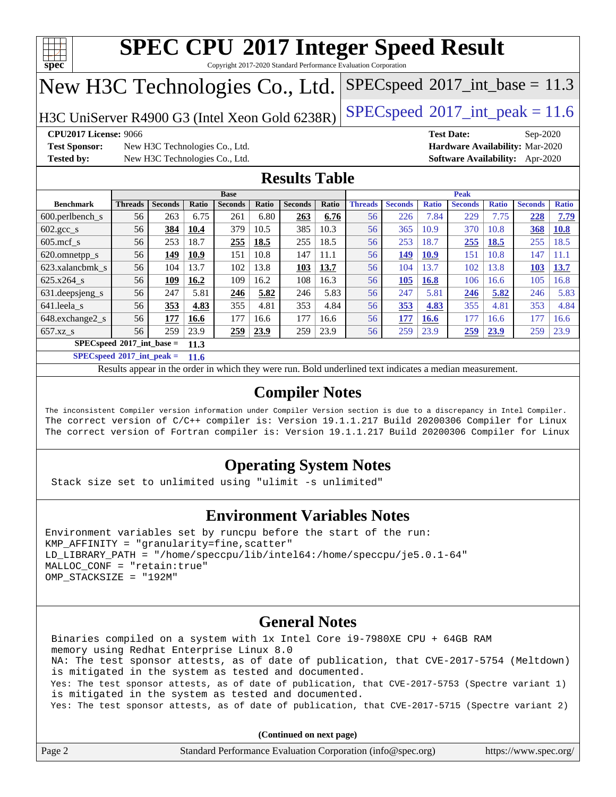

Copyright 2017-2020 Standard Performance Evaluation Corporation

# New H3C Technologies Co., Ltd.

H3C UniServer R4900 G3 (Intel Xeon Gold  $6238R$ ) [SPECspeed](http://www.spec.org/auto/cpu2017/Docs/result-fields.html#SPECspeed2017intpeak)®[2017\\_int\\_peak = 1](http://www.spec.org/auto/cpu2017/Docs/result-fields.html#SPECspeed2017intpeak)1.6

 $SPECspeed^{\circ}2017\_int\_base = 11.3$  $SPECspeed^{\circ}2017\_int\_base = 11.3$ 

**[Test Sponsor:](http://www.spec.org/auto/cpu2017/Docs/result-fields.html#TestSponsor)** New H3C Technologies Co., Ltd. **[Hardware Availability:](http://www.spec.org/auto/cpu2017/Docs/result-fields.html#HardwareAvailability)** Mar-2020 **[Tested by:](http://www.spec.org/auto/cpu2017/Docs/result-fields.html#Testedby)** New H3C Technologies Co., Ltd. **[Software Availability:](http://www.spec.org/auto/cpu2017/Docs/result-fields.html#SoftwareAvailability)** Apr-2020

**[CPU2017 License:](http://www.spec.org/auto/cpu2017/Docs/result-fields.html#CPU2017License)** 9066 **[Test Date:](http://www.spec.org/auto/cpu2017/Docs/result-fields.html#TestDate)** Sep-2020

### **[Results Table](http://www.spec.org/auto/cpu2017/Docs/result-fields.html#ResultsTable)**

|                                      | <b>Base</b>    |                |       |                |       | <b>Peak</b>    |              |                |                |              |                |              |                |              |
|--------------------------------------|----------------|----------------|-------|----------------|-------|----------------|--------------|----------------|----------------|--------------|----------------|--------------|----------------|--------------|
| <b>Benchmark</b>                     | <b>Threads</b> | <b>Seconds</b> | Ratio | <b>Seconds</b> | Ratio | <b>Seconds</b> | <b>Ratio</b> | <b>Threads</b> | <b>Seconds</b> | <b>Ratio</b> | <b>Seconds</b> | <b>Ratio</b> | <b>Seconds</b> | <b>Ratio</b> |
| $600.$ perlbench $\mathsf{S}$        | 56             | 263            | 6.75  | 261            | 6.80  | 263            | 6.76         | 56             | 226            | 7.84         | 229            | 7.75         | 228            | 7.79         |
| $602 \text{.} \text{gcc}\text{_<}$ s | 56             | 384            | 10.4  | 379            | 10.5  | 385            | 10.3         | 56             | 365            | 10.9         | 370            | 10.8         | 368            | <b>10.8</b>  |
| $605 \text{.mcf } s$                 | 56             | 253            | 18.7  | 255            | 18.5  | 255            | 18.5         | 56             | 253            | 18.7         | 255            | 18.5         | 255            | 18.5         |
| 620.omnetpp_s                        | 56             | 149            | 10.9  | 151            | 10.8  | 147            | 11.1         | 56             | 149            | 10.9         | 151            | 10.8         | 147            | 11.1         |
| 623.xalancbmk s                      | 56             | 104            | 13.7  | 102            | 13.8  | 103            | 13.7         | 56             | 104            | 13.7         | 102            | 13.8         | 103            | 13.7         |
| 625.x264 s                           | 56             | 109            | 16.2  | 109            | 16.2  | 108            | 16.3         | 56             | 105            | 16.8         | 106            | 16.6         | 105            | 16.8         |
| 631.deepsjeng_s                      | 56             | 247            | 5.81  | 246            | 5.82  | 246            | 5.83         | 56             | 247            | 5.81         | 246            | 5.82         | 246            | 5.83         |
| 641.leela s                          | 56             | 353            | 4.83  | 355            | 4.81  | 353            | 4.84         | 56             | 353            | 4.83         | 355            | 4.81         | 353            | 4.84         |
| 648.exchange2 s                      | 56             | 177            | 16.6  | 177            | 16.6  | 177            | 16.6         | 56             | 177            | 16.6         | 177            | 16.6         | 177            | 16.6         |
| $657.xz$ s                           | 56             | 259            | 23.9  | 259            | 23.9  | 259            | 23.9         | 56             | 259            | 23.9         | 259            | 23.9         | 259            | 23.9         |
| $SPECspeed^*2017$ int base =<br>11.3 |                |                |       |                |       |                |              |                |                |              |                |              |                |              |

**[SPECspeed](http://www.spec.org/auto/cpu2017/Docs/result-fields.html#SPECspeed2017intpeak)[2017\\_int\\_peak =](http://www.spec.org/auto/cpu2017/Docs/result-fields.html#SPECspeed2017intpeak) 11.6**

Results appear in the [order in which they were run.](http://www.spec.org/auto/cpu2017/Docs/result-fields.html#RunOrder) Bold underlined text [indicates a median measurement](http://www.spec.org/auto/cpu2017/Docs/result-fields.html#Median).

### **[Compiler Notes](http://www.spec.org/auto/cpu2017/Docs/result-fields.html#CompilerNotes)**

The inconsistent Compiler version information under Compiler Version section is due to a discrepancy in Intel Compiler. The correct version of C/C++ compiler is: Version 19.1.1.217 Build 20200306 Compiler for Linux The correct version of Fortran compiler is: Version 19.1.1.217 Build 20200306 Compiler for Linux

### **[Operating System Notes](http://www.spec.org/auto/cpu2017/Docs/result-fields.html#OperatingSystemNotes)**

Stack size set to unlimited using "ulimit -s unlimited"

### **[Environment Variables Notes](http://www.spec.org/auto/cpu2017/Docs/result-fields.html#EnvironmentVariablesNotes)**

```
Environment variables set by runcpu before the start of the run:
KMP AFFINITY = "granularity=fine, scatter"
LD_LIBRARY_PATH = "/home/speccpu/lib/intel64:/home/speccpu/je5.0.1-64"
MALLOC_CONF = "retain:true"
OMP_STACKSIZE = "192M"
```
### **[General Notes](http://www.spec.org/auto/cpu2017/Docs/result-fields.html#GeneralNotes)**

 Binaries compiled on a system with 1x Intel Core i9-7980XE CPU + 64GB RAM memory using Redhat Enterprise Linux 8.0 NA: The test sponsor attests, as of date of publication, that CVE-2017-5754 (Meltdown) is mitigated in the system as tested and documented. Yes: The test sponsor attests, as of date of publication, that CVE-2017-5753 (Spectre variant 1) is mitigated in the system as tested and documented. Yes: The test sponsor attests, as of date of publication, that CVE-2017-5715 (Spectre variant 2)

**(Continued on next page)**

| Page 2 | Standard Performance Evaluation Corporation (info@spec.org) | https://www.spec.org/ |
|--------|-------------------------------------------------------------|-----------------------|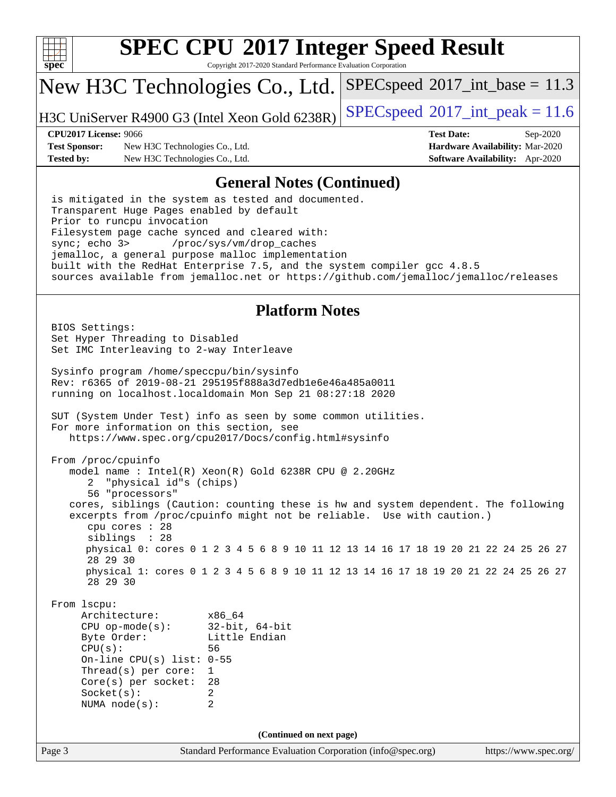

Copyright 2017-2020 Standard Performance Evaluation Corporation

## New H3C Technologies Co., Ltd.

H3C UniServer R4900 G3 (Intel Xeon Gold 6238R) [SPECspeed](http://www.spec.org/auto/cpu2017/Docs/result-fields.html#SPECspeed2017intpeak)®[2017\\_int\\_peak = 1](http://www.spec.org/auto/cpu2017/Docs/result-fields.html#SPECspeed2017intpeak)1.6

 $SPECspeed^{\circ}2017\_int\_base = 11.3$  $SPECspeed^{\circ}2017\_int\_base = 11.3$ 

**[Test Sponsor:](http://www.spec.org/auto/cpu2017/Docs/result-fields.html#TestSponsor)** New H3C Technologies Co., Ltd. **[Hardware Availability:](http://www.spec.org/auto/cpu2017/Docs/result-fields.html#HardwareAvailability)** Mar-2020 **[Tested by:](http://www.spec.org/auto/cpu2017/Docs/result-fields.html#Testedby)** New H3C Technologies Co., Ltd. **[Software Availability:](http://www.spec.org/auto/cpu2017/Docs/result-fields.html#SoftwareAvailability)** Apr-2020

**[CPU2017 License:](http://www.spec.org/auto/cpu2017/Docs/result-fields.html#CPU2017License)** 9066 **[Test Date:](http://www.spec.org/auto/cpu2017/Docs/result-fields.html#TestDate)** Sep-2020

### **[General Notes \(Continued\)](http://www.spec.org/auto/cpu2017/Docs/result-fields.html#GeneralNotes)**

 is mitigated in the system as tested and documented. Transparent Huge Pages enabled by default Prior to runcpu invocation Filesystem page cache synced and cleared with: sync; echo 3> /proc/sys/vm/drop\_caches jemalloc, a general purpose malloc implementation built with the RedHat Enterprise 7.5, and the system compiler gcc 4.8.5 sources available from jemalloc.net or <https://github.com/jemalloc/jemalloc/releases>

### **[Platform Notes](http://www.spec.org/auto/cpu2017/Docs/result-fields.html#PlatformNotes)**

 BIOS Settings: Set Hyper Threading to Disabled Set IMC Interleaving to 2-way Interleave Sysinfo program /home/speccpu/bin/sysinfo Rev: r6365 of 2019-08-21 295195f888a3d7edb1e6e46a485a0011 running on localhost.localdomain Mon Sep 21 08:27:18 2020 SUT (System Under Test) info as seen by some common utilities. For more information on this section, see <https://www.spec.org/cpu2017/Docs/config.html#sysinfo> From /proc/cpuinfo model name : Intel(R) Xeon(R) Gold 6238R CPU @ 2.20GHz 2 "physical id"s (chips) 56 "processors" cores, siblings (Caution: counting these is hw and system dependent. The following excerpts from /proc/cpuinfo might not be reliable. Use with caution.) cpu cores : 28 siblings : 28 physical 0: cores 0 1 2 3 4 5 6 8 9 10 11 12 13 14 16 17 18 19 20 21 22 24 25 26 27 28 29 30 physical 1: cores 0 1 2 3 4 5 6 8 9 10 11 12 13 14 16 17 18 19 20 21 22 24 25 26 27 28 29 30 From lscpu: Architecture: x86\_64 CPU op-mode(s): 32-bit, 64-bit Byte Order: Little Endian CPU(s): 56 On-line CPU(s) list: 0-55 Thread(s) per core: 1 Core(s) per socket: 28 Socket(s): 2 NUMA node(s): 2 **(Continued on next page)**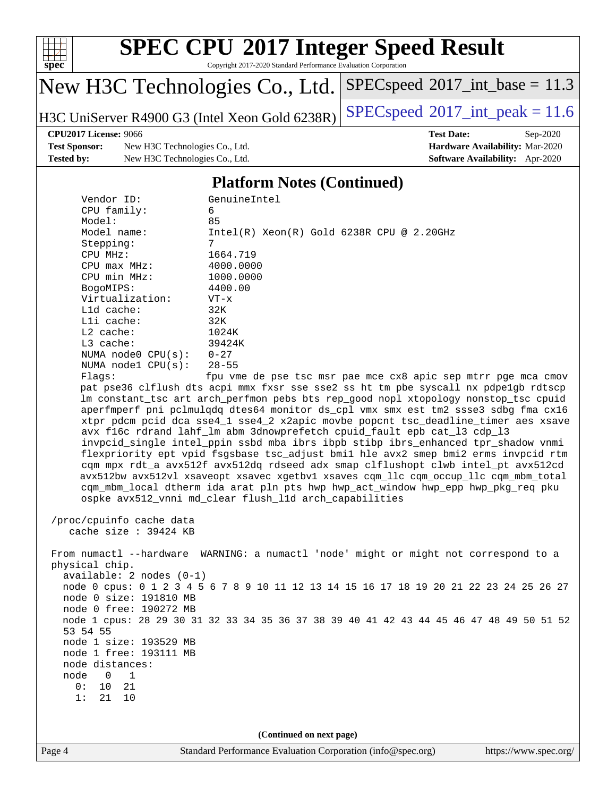

Copyright 2017-2020 Standard Performance Evaluation Corporation

# New H3C Technologies Co., Ltd.

H3C UniServer R4900 G3 (Intel Xeon Gold 6238R) [SPECspeed](http://www.spec.org/auto/cpu2017/Docs/result-fields.html#SPECspeed2017intpeak)<sup>®</sup>[2017\\_int\\_peak = 1](http://www.spec.org/auto/cpu2017/Docs/result-fields.html#SPECspeed2017intpeak)1.6

 $SPEC speed$ <sup>®</sup>[2017\\_int\\_base =](http://www.spec.org/auto/cpu2017/Docs/result-fields.html#SPECspeed2017intbase) 11.3

**[Test Sponsor:](http://www.spec.org/auto/cpu2017/Docs/result-fields.html#TestSponsor)** New H3C Technologies Co., Ltd. **[Hardware Availability:](http://www.spec.org/auto/cpu2017/Docs/result-fields.html#HardwareAvailability)** Mar-2020 **[Tested by:](http://www.spec.org/auto/cpu2017/Docs/result-fields.html#Testedby)** New H3C Technologies Co., Ltd. **[Software Availability:](http://www.spec.org/auto/cpu2017/Docs/result-fields.html#SoftwareAvailability)** Apr-2020

**[CPU2017 License:](http://www.spec.org/auto/cpu2017/Docs/result-fields.html#CPU2017License)** 9066 **[Test Date:](http://www.spec.org/auto/cpu2017/Docs/result-fields.html#TestDate)** Sep-2020

### **[Platform Notes \(Continued\)](http://www.spec.org/auto/cpu2017/Docs/result-fields.html#PlatformNotes)**

| Vendor ID:<br>CPU family:  | GenuineIntel<br>6                                                                                                                                                       |                       |
|----------------------------|-------------------------------------------------------------------------------------------------------------------------------------------------------------------------|-----------------------|
| Model:                     | 85                                                                                                                                                                      |                       |
| Model name:                | $Intel(R) Xeon(R) Gold 6238R CPU @ 2.20GHz$                                                                                                                             |                       |
| Stepping:                  | $7^{\circ}$                                                                                                                                                             |                       |
| CPU MHz:                   | 1664.719                                                                                                                                                                |                       |
| CPU max MHz:               | 4000.0000                                                                                                                                                               |                       |
| CPU min MHz:               | 1000.0000                                                                                                                                                               |                       |
| BogoMIPS:                  | 4400.00                                                                                                                                                                 |                       |
| Virtualization:            | $VT - x$                                                                                                                                                                |                       |
| L1d cache:                 | 32K                                                                                                                                                                     |                       |
| Lli cache:                 | 32K                                                                                                                                                                     |                       |
| L2 cache:                  | 1024K                                                                                                                                                                   |                       |
| L3 cache:                  | 39424K                                                                                                                                                                  |                       |
| NUMA node0 $CPU(s): 0-27$  |                                                                                                                                                                         |                       |
| NUMA $node1$ $CPU(s):$     | $28 - 55$                                                                                                                                                               |                       |
| Flags:                     | fpu vme de pse tsc msr pae mce cx8 apic sep mtrr pge mca cmov                                                                                                           |                       |
|                            | pat pse36 clflush dts acpi mmx fxsr sse sse2 ss ht tm pbe syscall nx pdpelgb rdtscp                                                                                     |                       |
|                            | lm constant_tsc art arch_perfmon pebs bts rep_good nopl xtopology nonstop_tsc cpuid                                                                                     |                       |
|                            | aperfmperf pni pclmulqdq dtes64 monitor ds_cpl vmx smx est tm2 ssse3 sdbg fma cx16<br>xtpr pdcm pcid dca sse4_1 sse4_2 x2apic movbe popcnt tsc_deadline_timer aes xsave |                       |
|                            | avx f16c rdrand lahf_lm abm 3dnowprefetch cpuid_fault epb cat_13 cdp_13                                                                                                 |                       |
|                            | invpcid_single intel_ppin ssbd mba ibrs ibpb stibp ibrs_enhanced tpr_shadow vnmi                                                                                        |                       |
|                            | flexpriority ept vpid fsgsbase tsc_adjust bmil hle avx2 smep bmi2 erms invpcid rtm                                                                                      |                       |
|                            | cqm mpx rdt_a avx512f avx512dq rdseed adx smap clflushopt clwb intel_pt avx512cd                                                                                        |                       |
|                            | avx512bw avx512vl xsaveopt xsavec xgetbvl xsaves cgm_llc cgm_occup_llc cgm_mbm_total                                                                                    |                       |
|                            | cqm_mbm_local dtherm ida arat pln pts hwp hwp_act_window hwp_epp hwp_pkg_req pku                                                                                        |                       |
|                            | ospke avx512_vnni md_clear flush_l1d arch_capabilities                                                                                                                  |                       |
|                            |                                                                                                                                                                         |                       |
| /proc/cpuinfo cache data   |                                                                                                                                                                         |                       |
| cache size : 39424 KB      |                                                                                                                                                                         |                       |
|                            |                                                                                                                                                                         |                       |
|                            | From numactl --hardware WARNING: a numactl 'node' might or might not correspond to a                                                                                    |                       |
| physical chip.             |                                                                                                                                                                         |                       |
| $available: 2 nodes (0-1)$ |                                                                                                                                                                         |                       |
|                            | node 0 cpus: 0 1 2 3 4 5 6 7 8 9 10 11 12 13 14 15 16 17 18 19 20 21 22 23 24 25 26 27                                                                                  |                       |
| node 0 size: 191810 MB     |                                                                                                                                                                         |                       |
| node 0 free: 190272 MB     |                                                                                                                                                                         |                       |
| 53 54 55                   | node 1 cpus: 28 29 30 31 32 33 34 35 36 37 38 39 40 41 42 43 44 45 46 47 48 49 50 51 52                                                                                 |                       |
| node 1 size: 193529 MB     |                                                                                                                                                                         |                       |
| node 1 free: 193111 MB     |                                                                                                                                                                         |                       |
| node distances:            |                                                                                                                                                                         |                       |
| node<br>0<br>1             |                                                                                                                                                                         |                       |
| 10<br>21<br>0 :            |                                                                                                                                                                         |                       |
| 21<br>10<br>1:             |                                                                                                                                                                         |                       |
|                            |                                                                                                                                                                         |                       |
|                            |                                                                                                                                                                         |                       |
|                            | (Continued on next page)                                                                                                                                                |                       |
| Page 4                     | Standard Performance Evaluation Corporation (info@spec.org)                                                                                                             | https://www.spec.org/ |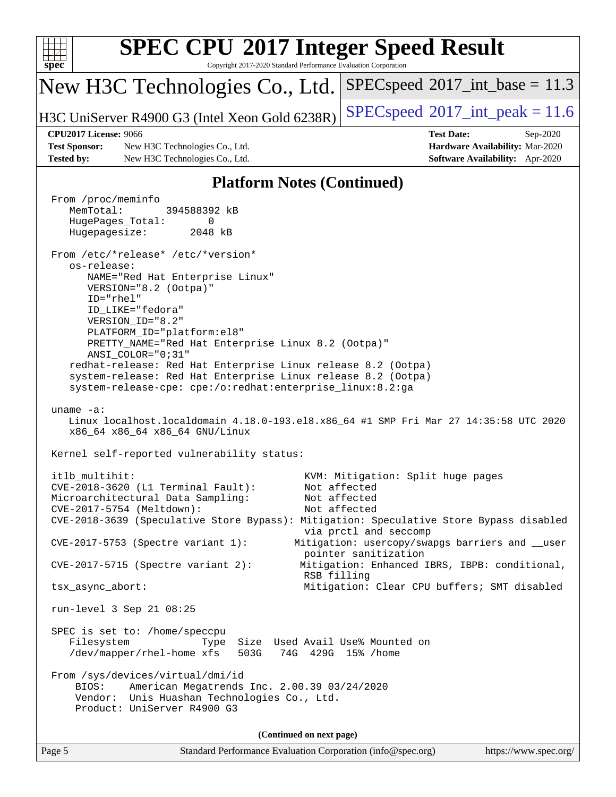| <b>SPEC CPU®2017 Integer Speed Result</b><br>spec<br>Copyright 2017-2020 Standard Performance Evaluation Corporation                                                                                                                                                                                                                                                                                                                                                                                                                                                                                                                                                                                                                                                                                                                                                                                                                                                                                                                     |                                                                                                                                                               |  |  |  |  |  |
|------------------------------------------------------------------------------------------------------------------------------------------------------------------------------------------------------------------------------------------------------------------------------------------------------------------------------------------------------------------------------------------------------------------------------------------------------------------------------------------------------------------------------------------------------------------------------------------------------------------------------------------------------------------------------------------------------------------------------------------------------------------------------------------------------------------------------------------------------------------------------------------------------------------------------------------------------------------------------------------------------------------------------------------|---------------------------------------------------------------------------------------------------------------------------------------------------------------|--|--|--|--|--|
| New H3C Technologies Co., Ltd.                                                                                                                                                                                                                                                                                                                                                                                                                                                                                                                                                                                                                                                                                                                                                                                                                                                                                                                                                                                                           | $SPEC speed^{\circ}2017\_int\_base = 11.3$                                                                                                                    |  |  |  |  |  |
| H3C UniServer R4900 G3 (Intel Xeon Gold 6238R)                                                                                                                                                                                                                                                                                                                                                                                                                                                                                                                                                                                                                                                                                                                                                                                                                                                                                                                                                                                           | $SPEC speed^{\circ}2017\_int\_peak = 11.6$                                                                                                                    |  |  |  |  |  |
| <b>CPU2017 License: 9066</b>                                                                                                                                                                                                                                                                                                                                                                                                                                                                                                                                                                                                                                                                                                                                                                                                                                                                                                                                                                                                             | <b>Test Date:</b><br>Sep-2020                                                                                                                                 |  |  |  |  |  |
| <b>Test Sponsor:</b><br>New H3C Technologies Co., Ltd.<br><b>Tested by:</b><br>New H3C Technologies Co., Ltd.                                                                                                                                                                                                                                                                                                                                                                                                                                                                                                                                                                                                                                                                                                                                                                                                                                                                                                                            | Hardware Availability: Mar-2020<br>Software Availability: Apr-2020                                                                                            |  |  |  |  |  |
| <b>Platform Notes (Continued)</b>                                                                                                                                                                                                                                                                                                                                                                                                                                                                                                                                                                                                                                                                                                                                                                                                                                                                                                                                                                                                        |                                                                                                                                                               |  |  |  |  |  |
| From /proc/meminfo<br>MemTotal:<br>394588392 kB<br>HugePages_Total:<br>0<br>Hugepagesize:<br>2048 kB<br>From /etc/*release* /etc/*version*<br>os-release:<br>NAME="Red Hat Enterprise Linux"<br>VERSION="8.2 (Ootpa)"<br>$ID="rhe1"$<br>ID_LIKE="fedora"<br>VERSION_ID="8.2"<br>PLATFORM_ID="platform:el8"<br>PRETTY_NAME="Red Hat Enterprise Linux 8.2 (Ootpa)"<br>ANSI_COLOR="0;31"<br>redhat-release: Red Hat Enterprise Linux release 8.2 (Ootpa)<br>system-release: Red Hat Enterprise Linux release 8.2 (Ootpa)<br>system-release-cpe: cpe:/o:redhat:enterprise_linux:8.2:ga<br>uname $-a$ :<br>Linux localhost.localdomain 4.18.0-193.el8.x86_64 #1 SMP Fri Mar 27 14:35:58 UTC 2020<br>x86_64 x86_64 x86_64 GNU/Linux<br>Kernel self-reported vulnerability status:<br>itlb multihit:<br>CVE-2018-3620 (L1 Terminal Fault):<br>Microarchitectural Data Sampling:<br>CVE-2017-5754 (Meltdown):<br>CVE-2018-3639 (Speculative Store Bypass): Mitigation: Speculative Store Bypass disabled<br>$CVE-2017-5753$ (Spectre variant 1): | KVM: Mitigation: Split huge pages<br>Not affected<br>Not affected<br>Not affected<br>via prctl and seccomp<br>Mitigation: usercopy/swapgs barriers and __user |  |  |  |  |  |
| $CVE-2017-5715$ (Spectre variant 2):                                                                                                                                                                                                                                                                                                                                                                                                                                                                                                                                                                                                                                                                                                                                                                                                                                                                                                                                                                                                     | pointer sanitization<br>Mitigation: Enhanced IBRS, IBPB: conditional,                                                                                         |  |  |  |  |  |
| RSB filling<br>tsx_async_abort:                                                                                                                                                                                                                                                                                                                                                                                                                                                                                                                                                                                                                                                                                                                                                                                                                                                                                                                                                                                                          | Mitigation: Clear CPU buffers; SMT disabled                                                                                                                   |  |  |  |  |  |
| run-level 3 Sep 21 08:25                                                                                                                                                                                                                                                                                                                                                                                                                                                                                                                                                                                                                                                                                                                                                                                                                                                                                                                                                                                                                 |                                                                                                                                                               |  |  |  |  |  |
| SPEC is set to: /home/speccpu<br>Size Used Avail Use% Mounted on<br>Filesystem<br>Type<br>/dev/mapper/rhel-home xfs<br>503G<br>From /sys/devices/virtual/dmi/id<br>American Megatrends Inc. 2.00.39 03/24/2020<br>BIOS:<br>Vendor: Unis Huashan Technologies Co., Ltd.<br>Product: UniServer R4900 G3                                                                                                                                                                                                                                                                                                                                                                                                                                                                                                                                                                                                                                                                                                                                    | 74G 429G 15% / home                                                                                                                                           |  |  |  |  |  |
| (Continued on next page)                                                                                                                                                                                                                                                                                                                                                                                                                                                                                                                                                                                                                                                                                                                                                                                                                                                                                                                                                                                                                 |                                                                                                                                                               |  |  |  |  |  |
| Standard Performance Evaluation Corporation (info@spec.org)<br>Page 5                                                                                                                                                                                                                                                                                                                                                                                                                                                                                                                                                                                                                                                                                                                                                                                                                                                                                                                                                                    | https://www.spec.org/                                                                                                                                         |  |  |  |  |  |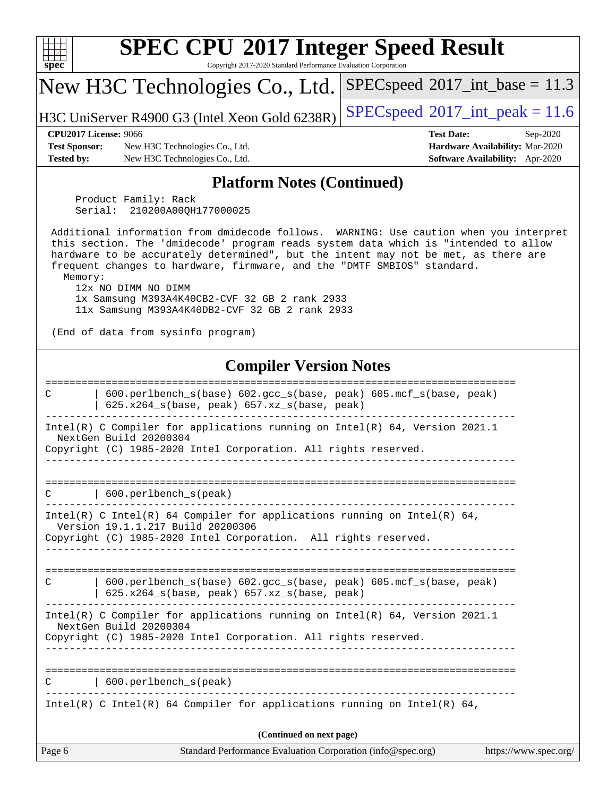| $\mathbf{spec}^*$                                                                                                                                                                | <b>SPEC CPU®2017 Integer Speed Result</b><br>Copyright 2017-2020 Standard Performance Evaluation Corporation                                                                                                                                                                                                                                                                                                                                                                                                   |                                            |                                                                                |  |  |
|----------------------------------------------------------------------------------------------------------------------------------------------------------------------------------|----------------------------------------------------------------------------------------------------------------------------------------------------------------------------------------------------------------------------------------------------------------------------------------------------------------------------------------------------------------------------------------------------------------------------------------------------------------------------------------------------------------|--------------------------------------------|--------------------------------------------------------------------------------|--|--|
|                                                                                                                                                                                  | New H3C Technologies Co., Ltd.                                                                                                                                                                                                                                                                                                                                                                                                                                                                                 | $SPEC speed^{\circ}2017\_int\_base = 11.3$ |                                                                                |  |  |
|                                                                                                                                                                                  | H3C UniServer R4900 G3 (Intel Xeon Gold 6238R)                                                                                                                                                                                                                                                                                                                                                                                                                                                                 | $SPEC speed^{\circ}2017\_int\_peak = 11.6$ |                                                                                |  |  |
| <b>Test Sponsor:</b><br><b>Tested by:</b>                                                                                                                                        | <b>CPU2017 License: 9066</b><br>New H3C Technologies Co., Ltd.<br>New H3C Technologies Co., Ltd.                                                                                                                                                                                                                                                                                                                                                                                                               | <b>Test Date:</b>                          | Sep-2020<br>Hardware Availability: Mar-2020<br>Software Availability: Apr-2020 |  |  |
|                                                                                                                                                                                  | <b>Platform Notes (Continued)</b>                                                                                                                                                                                                                                                                                                                                                                                                                                                                              |                                            |                                                                                |  |  |
|                                                                                                                                                                                  | Product Family: Rack<br>210200A00QH177000025<br>Serial:                                                                                                                                                                                                                                                                                                                                                                                                                                                        |                                            |                                                                                |  |  |
| Memory:                                                                                                                                                                          | Additional information from dmidecode follows. WARNING: Use caution when you interpret<br>this section. The 'dmidecode' program reads system data which is "intended to allow<br>hardware to be accurately determined", but the intent may not be met, as there are<br>frequent changes to hardware, firmware, and the "DMTF SMBIOS" standard.<br>12x NO DIMM NO DIMM<br>1x Samsung M393A4K40CB2-CVF 32 GB 2 rank 2933<br>11x Samsung M393A4K40DB2-CVF 32 GB 2 rank 2933<br>(End of data from sysinfo program) |                                            |                                                                                |  |  |
|                                                                                                                                                                                  | <b>Compiler Version Notes</b>                                                                                                                                                                                                                                                                                                                                                                                                                                                                                  |                                            |                                                                                |  |  |
| С                                                                                                                                                                                | 600.perlbench_s(base) 602.gcc_s(base, peak) 605.mcf_s(base, peak)<br>625.x264_s(base, peak) 657.xz_s(base, peak)<br>Intel(R) C Compiler for applications running on Intel(R) 64, Version 2021.1<br>NextGen Build 20200304<br>Copyright (C) 1985-2020 Intel Corporation. All rights reserved.                                                                                                                                                                                                                   |                                            |                                                                                |  |  |
| C                                                                                                                                                                                | 600.perlbench_s(peak)                                                                                                                                                                                                                                                                                                                                                                                                                                                                                          |                                            |                                                                                |  |  |
| Intel(R) C Intel(R) 64 Compiler for applications running on Intel(R) 64,<br>Version 19.1.1.217 Build 20200306<br>Copyright (C) 1985-2020 Intel Corporation. All rights reserved. |                                                                                                                                                                                                                                                                                                                                                                                                                                                                                                                |                                            |                                                                                |  |  |
| С                                                                                                                                                                                | 600.perlbench_s(base) 602.gcc_s(base, peak) 605.mcf_s(base, peak)<br>625.x264_s(base, peak) 657.xz_s(base, peak)                                                                                                                                                                                                                                                                                                                                                                                               |                                            |                                                                                |  |  |
| Intel(R) C Compiler for applications running on Intel(R) 64, Version 2021.1<br>NextGen Build 20200304<br>Copyright (C) 1985-2020 Intel Corporation. All rights reserved.         |                                                                                                                                                                                                                                                                                                                                                                                                                                                                                                                |                                            |                                                                                |  |  |
|                                                                                                                                                                                  | 600.perlbench_s(peak)                                                                                                                                                                                                                                                                                                                                                                                                                                                                                          |                                            |                                                                                |  |  |
|                                                                                                                                                                                  | $Intel(R)$ C Intel(R) 64 Compiler for applications running on Intel(R) 64,                                                                                                                                                                                                                                                                                                                                                                                                                                     |                                            |                                                                                |  |  |
|                                                                                                                                                                                  | (Continued on next page)                                                                                                                                                                                                                                                                                                                                                                                                                                                                                       |                                            |                                                                                |  |  |
| Page 6                                                                                                                                                                           | Standard Performance Evaluation Corporation (info@spec.org)                                                                                                                                                                                                                                                                                                                                                                                                                                                    |                                            | https://www.spec.org/                                                          |  |  |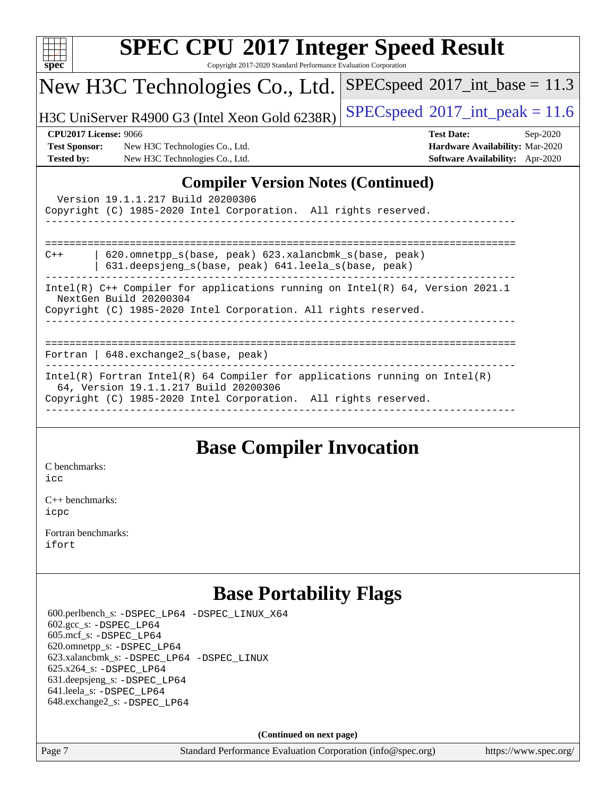| <b>SPEC CPU®2017 Integer Speed Result</b>                                                                                                                                                |                                            |  |  |  |  |
|------------------------------------------------------------------------------------------------------------------------------------------------------------------------------------------|--------------------------------------------|--|--|--|--|
| Copyright 2017-2020 Standard Performance Evaluation Corporation<br>spec <sup>®</sup>                                                                                                     |                                            |  |  |  |  |
| New H3C Technologies Co., Ltd.                                                                                                                                                           | $SPEC speed^{\circ}2017\_int\_base = 11.3$ |  |  |  |  |
| H3C UniServer R4900 G3 (Intel Xeon Gold 6238R)                                                                                                                                           | $SPEC speed^{\circ}2017\_int\_peak = 11.6$ |  |  |  |  |
| <b>CPU2017 License: 9066</b>                                                                                                                                                             | <b>Test Date:</b><br>Sep-2020              |  |  |  |  |
| <b>Test Sponsor:</b><br>New H3C Technologies Co., Ltd.                                                                                                                                   | Hardware Availability: Mar-2020            |  |  |  |  |
| <b>Tested by:</b><br>New H3C Technologies Co., Ltd.                                                                                                                                      | Software Availability: Apr-2020            |  |  |  |  |
| <b>Compiler Version Notes (Continued)</b><br>Version 19.1.1.217 Build 20200306<br>Copyright (C) 1985-2020 Intel Corporation. All rights reserved.<br>$C++$                               |                                            |  |  |  |  |
| 620.omnetpp_s(base, peak) 623.xalancbmk_s(base, peak)<br>631.deepsjeng_s(base, peak) 641.leela_s(base, peak)                                                                             |                                            |  |  |  |  |
| Intel(R) C++ Compiler for applications running on Intel(R) 64, Version 2021.1<br>NextGen Build 20200304<br>Copyright (C) 1985-2020 Intel Corporation. All rights reserved.               |                                            |  |  |  |  |
| Fortran   648. exchange2_s(base, peak)                                                                                                                                                   |                                            |  |  |  |  |
| $Intel(R)$ Fortran Intel(R) 64 Compiler for applications running on Intel(R)<br>64, Version 19.1.1.217 Build 20200306<br>Copyright (C) 1985-2020 Intel Corporation. All rights reserved. |                                            |  |  |  |  |
|                                                                                                                                                                                          |                                            |  |  |  |  |

## **[Base Compiler Invocation](http://www.spec.org/auto/cpu2017/Docs/result-fields.html#BaseCompilerInvocation)**

[C benchmarks](http://www.spec.org/auto/cpu2017/Docs/result-fields.html#Cbenchmarks): [icc](http://www.spec.org/cpu2017/results/res2020q4/cpu2017-20201014-24214.flags.html#user_CCbase_intel_icc_66fc1ee009f7361af1fbd72ca7dcefbb700085f36577c54f309893dd4ec40d12360134090235512931783d35fd58c0460139e722d5067c5574d8eaf2b3e37e92)

[C++ benchmarks:](http://www.spec.org/auto/cpu2017/Docs/result-fields.html#CXXbenchmarks) [icpc](http://www.spec.org/cpu2017/results/res2020q4/cpu2017-20201014-24214.flags.html#user_CXXbase_intel_icpc_c510b6838c7f56d33e37e94d029a35b4a7bccf4766a728ee175e80a419847e808290a9b78be685c44ab727ea267ec2f070ec5dc83b407c0218cded6866a35d07)

[Fortran benchmarks](http://www.spec.org/auto/cpu2017/Docs/result-fields.html#Fortranbenchmarks): [ifort](http://www.spec.org/cpu2017/results/res2020q4/cpu2017-20201014-24214.flags.html#user_FCbase_intel_ifort_8111460550e3ca792625aed983ce982f94888b8b503583aa7ba2b8303487b4d8a21a13e7191a45c5fd58ff318f48f9492884d4413fa793fd88dd292cad7027ca)

## **[Base Portability Flags](http://www.spec.org/auto/cpu2017/Docs/result-fields.html#BasePortabilityFlags)**

 600.perlbench\_s: [-DSPEC\\_LP64](http://www.spec.org/cpu2017/results/res2020q4/cpu2017-20201014-24214.flags.html#b600.perlbench_s_basePORTABILITY_DSPEC_LP64) [-DSPEC\\_LINUX\\_X64](http://www.spec.org/cpu2017/results/res2020q4/cpu2017-20201014-24214.flags.html#b600.perlbench_s_baseCPORTABILITY_DSPEC_LINUX_X64) 602.gcc\_s: [-DSPEC\\_LP64](http://www.spec.org/cpu2017/results/res2020q4/cpu2017-20201014-24214.flags.html#suite_basePORTABILITY602_gcc_s_DSPEC_LP64) 605.mcf\_s: [-DSPEC\\_LP64](http://www.spec.org/cpu2017/results/res2020q4/cpu2017-20201014-24214.flags.html#suite_basePORTABILITY605_mcf_s_DSPEC_LP64) 620.omnetpp\_s: [-DSPEC\\_LP64](http://www.spec.org/cpu2017/results/res2020q4/cpu2017-20201014-24214.flags.html#suite_basePORTABILITY620_omnetpp_s_DSPEC_LP64) 623.xalancbmk\_s: [-DSPEC\\_LP64](http://www.spec.org/cpu2017/results/res2020q4/cpu2017-20201014-24214.flags.html#suite_basePORTABILITY623_xalancbmk_s_DSPEC_LP64) [-DSPEC\\_LINUX](http://www.spec.org/cpu2017/results/res2020q4/cpu2017-20201014-24214.flags.html#b623.xalancbmk_s_baseCXXPORTABILITY_DSPEC_LINUX) 625.x264\_s: [-DSPEC\\_LP64](http://www.spec.org/cpu2017/results/res2020q4/cpu2017-20201014-24214.flags.html#suite_basePORTABILITY625_x264_s_DSPEC_LP64) 631.deepsjeng\_s: [-DSPEC\\_LP64](http://www.spec.org/cpu2017/results/res2020q4/cpu2017-20201014-24214.flags.html#suite_basePORTABILITY631_deepsjeng_s_DSPEC_LP64) 641.leela\_s: [-DSPEC\\_LP64](http://www.spec.org/cpu2017/results/res2020q4/cpu2017-20201014-24214.flags.html#suite_basePORTABILITY641_leela_s_DSPEC_LP64) 648.exchange2\_s: [-DSPEC\\_LP64](http://www.spec.org/cpu2017/results/res2020q4/cpu2017-20201014-24214.flags.html#suite_basePORTABILITY648_exchange2_s_DSPEC_LP64)

**(Continued on next page)**

Page 7 Standard Performance Evaluation Corporation [\(info@spec.org\)](mailto:info@spec.org) <https://www.spec.org/>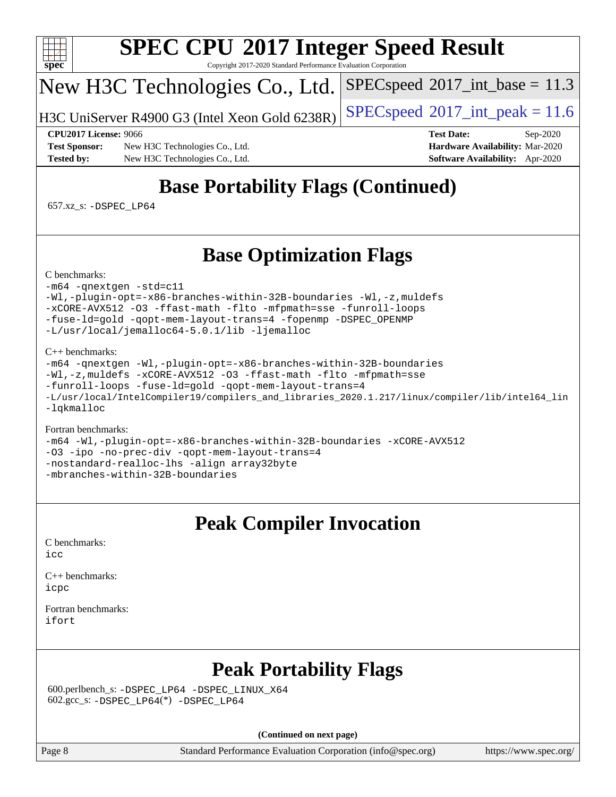

Copyright 2017-2020 Standard Performance Evaluation Corporation

# New H3C Technologies Co., Ltd.

H3C UniServer R4900 G3 (Intel Xeon Gold 6238R)  $\left|$  [SPECspeed](http://www.spec.org/auto/cpu2017/Docs/result-fields.html#SPECspeed2017intpeak)®[2017\\_int\\_peak = 1](http://www.spec.org/auto/cpu2017/Docs/result-fields.html#SPECspeed2017intpeak)1.6

 $SPECspeed^{\circ}2017\_int\_base = 11.3$  $SPECspeed^{\circ}2017\_int\_base = 11.3$ 

**[Test Sponsor:](http://www.spec.org/auto/cpu2017/Docs/result-fields.html#TestSponsor)** New H3C Technologies Co., Ltd. **[Hardware Availability:](http://www.spec.org/auto/cpu2017/Docs/result-fields.html#HardwareAvailability)** Mar-2020 **[Tested by:](http://www.spec.org/auto/cpu2017/Docs/result-fields.html#Testedby)** New H3C Technologies Co., Ltd. **[Software Availability:](http://www.spec.org/auto/cpu2017/Docs/result-fields.html#SoftwareAvailability)** Apr-2020

**[CPU2017 License:](http://www.spec.org/auto/cpu2017/Docs/result-fields.html#CPU2017License)** 9066 **[Test Date:](http://www.spec.org/auto/cpu2017/Docs/result-fields.html#TestDate)** Sep-2020

# **[Base Portability Flags \(Continued\)](http://www.spec.org/auto/cpu2017/Docs/result-fields.html#BasePortabilityFlags)**

657.xz\_s: [-DSPEC\\_LP64](http://www.spec.org/cpu2017/results/res2020q4/cpu2017-20201014-24214.flags.html#suite_basePORTABILITY657_xz_s_DSPEC_LP64)

## **[Base Optimization Flags](http://www.spec.org/auto/cpu2017/Docs/result-fields.html#BaseOptimizationFlags)**

[C benchmarks](http://www.spec.org/auto/cpu2017/Docs/result-fields.html#Cbenchmarks):

### [-m64](http://www.spec.org/cpu2017/results/res2020q4/cpu2017-20201014-24214.flags.html#user_CCbase_m64-icc) [-qnextgen](http://www.spec.org/cpu2017/results/res2020q4/cpu2017-20201014-24214.flags.html#user_CCbase_f-qnextgen) [-std=c11](http://www.spec.org/cpu2017/results/res2020q4/cpu2017-20201014-24214.flags.html#user_CCbase_std-icc-std_0e1c27790398a4642dfca32ffe6c27b5796f9c2d2676156f2e42c9c44eaad0c049b1cdb667a270c34d979996257aeb8fc440bfb01818dbc9357bd9d174cb8524) [-Wl,-plugin-opt=-x86-branches-within-32B-boundaries](http://www.spec.org/cpu2017/results/res2020q4/cpu2017-20201014-24214.flags.html#user_CCbase_f-x86-branches-within-32B-boundaries_0098b4e4317ae60947b7b728078a624952a08ac37a3c797dfb4ffeb399e0c61a9dd0f2f44ce917e9361fb9076ccb15e7824594512dd315205382d84209e912f3) [-Wl,-z,muldefs](http://www.spec.org/cpu2017/results/res2020q4/cpu2017-20201014-24214.flags.html#user_CCbase_link_force_multiple1_b4cbdb97b34bdee9ceefcfe54f4c8ea74255f0b02a4b23e853cdb0e18eb4525ac79b5a88067c842dd0ee6996c24547a27a4b99331201badda8798ef8a743f577) [-xCORE-AVX512](http://www.spec.org/cpu2017/results/res2020q4/cpu2017-20201014-24214.flags.html#user_CCbase_f-xCORE-AVX512) [-O3](http://www.spec.org/cpu2017/results/res2020q4/cpu2017-20201014-24214.flags.html#user_CCbase_f-O3) [-ffast-math](http://www.spec.org/cpu2017/results/res2020q4/cpu2017-20201014-24214.flags.html#user_CCbase_f-ffast-math) [-flto](http://www.spec.org/cpu2017/results/res2020q4/cpu2017-20201014-24214.flags.html#user_CCbase_f-flto) [-mfpmath=sse](http://www.spec.org/cpu2017/results/res2020q4/cpu2017-20201014-24214.flags.html#user_CCbase_f-mfpmath_70eb8fac26bde974f8ab713bc9086c5621c0b8d2f6c86f38af0bd7062540daf19db5f3a066d8c6684be05d84c9b6322eb3b5be6619d967835195b93d6c02afa1) [-funroll-loops](http://www.spec.org/cpu2017/results/res2020q4/cpu2017-20201014-24214.flags.html#user_CCbase_f-funroll-loops) [-fuse-ld=gold](http://www.spec.org/cpu2017/results/res2020q4/cpu2017-20201014-24214.flags.html#user_CCbase_f-fuse-ld_920b3586e2b8c6e0748b9c84fa9b744736ba725a32cab14ad8f3d4ad28eecb2f59d1144823d2e17006539a88734fe1fc08fc3035f7676166309105a78aaabc32) [-qopt-mem-layout-trans=4](http://www.spec.org/cpu2017/results/res2020q4/cpu2017-20201014-24214.flags.html#user_CCbase_f-qopt-mem-layout-trans_fa39e755916c150a61361b7846f310bcdf6f04e385ef281cadf3647acec3f0ae266d1a1d22d972a7087a248fd4e6ca390a3634700869573d231a252c784941a8) [-fopenmp](http://www.spec.org/cpu2017/results/res2020q4/cpu2017-20201014-24214.flags.html#user_CCbase_fopenmp_5aa2e47ce4f2ef030ba5d12d5a7a9c4e57167333d78243fcadb80b48d5abb78ff19333f8478e0b2a41e63049eb285965c145ccab7b93db7d0c4d59e4dc6f5591) [-DSPEC\\_OPENMP](http://www.spec.org/cpu2017/results/res2020q4/cpu2017-20201014-24214.flags.html#suite_CCbase_DSPEC_OPENMP) [-L/usr/local/jemalloc64-5.0.1/lib](http://www.spec.org/cpu2017/results/res2020q4/cpu2017-20201014-24214.flags.html#user_CCbase_jemalloc_link_path64_1_cc289568b1a6c0fd3b62c91b824c27fcb5af5e8098e6ad028160d21144ef1b8aef3170d2acf0bee98a8da324cfe4f67d0a3d0c4cc4673d993d694dc2a0df248b) [-ljemalloc](http://www.spec.org/cpu2017/results/res2020q4/cpu2017-20201014-24214.flags.html#user_CCbase_jemalloc_link_lib_d1249b907c500fa1c0672f44f562e3d0f79738ae9e3c4a9c376d49f265a04b9c99b167ecedbf6711b3085be911c67ff61f150a17b3472be731631ba4d0471706)

### [C++ benchmarks:](http://www.spec.org/auto/cpu2017/Docs/result-fields.html#CXXbenchmarks)

[-m64](http://www.spec.org/cpu2017/results/res2020q4/cpu2017-20201014-24214.flags.html#user_CXXbase_m64-icc) [-qnextgen](http://www.spec.org/cpu2017/results/res2020q4/cpu2017-20201014-24214.flags.html#user_CXXbase_f-qnextgen) [-Wl,-plugin-opt=-x86-branches-within-32B-boundaries](http://www.spec.org/cpu2017/results/res2020q4/cpu2017-20201014-24214.flags.html#user_CXXbase_f-x86-branches-within-32B-boundaries_0098b4e4317ae60947b7b728078a624952a08ac37a3c797dfb4ffeb399e0c61a9dd0f2f44ce917e9361fb9076ccb15e7824594512dd315205382d84209e912f3) [-Wl,-z,muldefs](http://www.spec.org/cpu2017/results/res2020q4/cpu2017-20201014-24214.flags.html#user_CXXbase_link_force_multiple1_b4cbdb97b34bdee9ceefcfe54f4c8ea74255f0b02a4b23e853cdb0e18eb4525ac79b5a88067c842dd0ee6996c24547a27a4b99331201badda8798ef8a743f577) [-xCORE-AVX512](http://www.spec.org/cpu2017/results/res2020q4/cpu2017-20201014-24214.flags.html#user_CXXbase_f-xCORE-AVX512) [-O3](http://www.spec.org/cpu2017/results/res2020q4/cpu2017-20201014-24214.flags.html#user_CXXbase_f-O3) [-ffast-math](http://www.spec.org/cpu2017/results/res2020q4/cpu2017-20201014-24214.flags.html#user_CXXbase_f-ffast-math) [-flto](http://www.spec.org/cpu2017/results/res2020q4/cpu2017-20201014-24214.flags.html#user_CXXbase_f-flto) [-mfpmath=sse](http://www.spec.org/cpu2017/results/res2020q4/cpu2017-20201014-24214.flags.html#user_CXXbase_f-mfpmath_70eb8fac26bde974f8ab713bc9086c5621c0b8d2f6c86f38af0bd7062540daf19db5f3a066d8c6684be05d84c9b6322eb3b5be6619d967835195b93d6c02afa1) [-funroll-loops](http://www.spec.org/cpu2017/results/res2020q4/cpu2017-20201014-24214.flags.html#user_CXXbase_f-funroll-loops) [-fuse-ld=gold](http://www.spec.org/cpu2017/results/res2020q4/cpu2017-20201014-24214.flags.html#user_CXXbase_f-fuse-ld_920b3586e2b8c6e0748b9c84fa9b744736ba725a32cab14ad8f3d4ad28eecb2f59d1144823d2e17006539a88734fe1fc08fc3035f7676166309105a78aaabc32) [-qopt-mem-layout-trans=4](http://www.spec.org/cpu2017/results/res2020q4/cpu2017-20201014-24214.flags.html#user_CXXbase_f-qopt-mem-layout-trans_fa39e755916c150a61361b7846f310bcdf6f04e385ef281cadf3647acec3f0ae266d1a1d22d972a7087a248fd4e6ca390a3634700869573d231a252c784941a8) [-L/usr/local/IntelCompiler19/compilers\\_and\\_libraries\\_2020.1.217/linux/compiler/lib/intel64\\_lin](http://www.spec.org/cpu2017/results/res2020q4/cpu2017-20201014-24214.flags.html#user_CXXbase_linkpath_2cb6f503891ebf8baee7515f4e7d4ec1217444d1d05903cc0091ac4158de400651d2b2313a9fa414cb8a8f0e16ab029634f5c6db340f400369c190d4db8a54a0) [-lqkmalloc](http://www.spec.org/cpu2017/results/res2020q4/cpu2017-20201014-24214.flags.html#user_CXXbase_qkmalloc_link_lib_79a818439969f771c6bc311cfd333c00fc099dad35c030f5aab9dda831713d2015205805422f83de8875488a2991c0a156aaa600e1f9138f8fc37004abc96dc5)

### [Fortran benchmarks:](http://www.spec.org/auto/cpu2017/Docs/result-fields.html#Fortranbenchmarks)

[-m64](http://www.spec.org/cpu2017/results/res2020q4/cpu2017-20201014-24214.flags.html#user_FCbase_m64-icc) [-Wl,-plugin-opt=-x86-branches-within-32B-boundaries](http://www.spec.org/cpu2017/results/res2020q4/cpu2017-20201014-24214.flags.html#user_FCbase_f-x86-branches-within-32B-boundaries_0098b4e4317ae60947b7b728078a624952a08ac37a3c797dfb4ffeb399e0c61a9dd0f2f44ce917e9361fb9076ccb15e7824594512dd315205382d84209e912f3) [-xCORE-AVX512](http://www.spec.org/cpu2017/results/res2020q4/cpu2017-20201014-24214.flags.html#user_FCbase_f-xCORE-AVX512) [-O3](http://www.spec.org/cpu2017/results/res2020q4/cpu2017-20201014-24214.flags.html#user_FCbase_f-O3) [-ipo](http://www.spec.org/cpu2017/results/res2020q4/cpu2017-20201014-24214.flags.html#user_FCbase_f-ipo) [-no-prec-div](http://www.spec.org/cpu2017/results/res2020q4/cpu2017-20201014-24214.flags.html#user_FCbase_f-no-prec-div) [-qopt-mem-layout-trans=4](http://www.spec.org/cpu2017/results/res2020q4/cpu2017-20201014-24214.flags.html#user_FCbase_f-qopt-mem-layout-trans_fa39e755916c150a61361b7846f310bcdf6f04e385ef281cadf3647acec3f0ae266d1a1d22d972a7087a248fd4e6ca390a3634700869573d231a252c784941a8) [-nostandard-realloc-lhs](http://www.spec.org/cpu2017/results/res2020q4/cpu2017-20201014-24214.flags.html#user_FCbase_f_2003_std_realloc_82b4557e90729c0f113870c07e44d33d6f5a304b4f63d4c15d2d0f1fab99f5daaed73bdb9275d9ae411527f28b936061aa8b9c8f2d63842963b95c9dd6426b8a) [-align array32byte](http://www.spec.org/cpu2017/results/res2020q4/cpu2017-20201014-24214.flags.html#user_FCbase_align_array32byte_b982fe038af199962ba9a80c053b8342c548c85b40b8e86eb3cc33dee0d7986a4af373ac2d51c3f7cf710a18d62fdce2948f201cd044323541f22fc0fffc51b6) [-mbranches-within-32B-boundaries](http://www.spec.org/cpu2017/results/res2020q4/cpu2017-20201014-24214.flags.html#user_FCbase_f-mbranches-within-32B-boundaries)

## **[Peak Compiler Invocation](http://www.spec.org/auto/cpu2017/Docs/result-fields.html#PeakCompilerInvocation)**

[C benchmarks](http://www.spec.org/auto/cpu2017/Docs/result-fields.html#Cbenchmarks): [icc](http://www.spec.org/cpu2017/results/res2020q4/cpu2017-20201014-24214.flags.html#user_CCpeak_intel_icc_66fc1ee009f7361af1fbd72ca7dcefbb700085f36577c54f309893dd4ec40d12360134090235512931783d35fd58c0460139e722d5067c5574d8eaf2b3e37e92)

[C++ benchmarks:](http://www.spec.org/auto/cpu2017/Docs/result-fields.html#CXXbenchmarks) [icpc](http://www.spec.org/cpu2017/results/res2020q4/cpu2017-20201014-24214.flags.html#user_CXXpeak_intel_icpc_c510b6838c7f56d33e37e94d029a35b4a7bccf4766a728ee175e80a419847e808290a9b78be685c44ab727ea267ec2f070ec5dc83b407c0218cded6866a35d07)

[Fortran benchmarks](http://www.spec.org/auto/cpu2017/Docs/result-fields.html#Fortranbenchmarks): [ifort](http://www.spec.org/cpu2017/results/res2020q4/cpu2017-20201014-24214.flags.html#user_FCpeak_intel_ifort_8111460550e3ca792625aed983ce982f94888b8b503583aa7ba2b8303487b4d8a21a13e7191a45c5fd58ff318f48f9492884d4413fa793fd88dd292cad7027ca)

# **[Peak Portability Flags](http://www.spec.org/auto/cpu2017/Docs/result-fields.html#PeakPortabilityFlags)**

 600.perlbench\_s: [-DSPEC\\_LP64](http://www.spec.org/cpu2017/results/res2020q4/cpu2017-20201014-24214.flags.html#b600.perlbench_s_peakPORTABILITY_DSPEC_LP64) [-DSPEC\\_LINUX\\_X64](http://www.spec.org/cpu2017/results/res2020q4/cpu2017-20201014-24214.flags.html#b600.perlbench_s_peakCPORTABILITY_DSPEC_LINUX_X64)  $602.\text{gcc}\$ : -DSPEC LP64(\*) -DSPEC LP64

**(Continued on next page)**

Page 8 Standard Performance Evaluation Corporation [\(info@spec.org\)](mailto:info@spec.org) <https://www.spec.org/>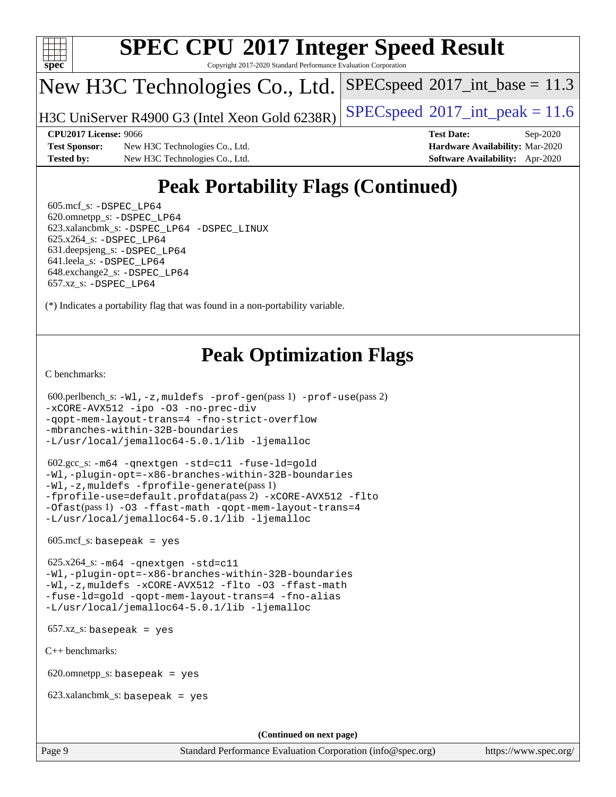

Copyright 2017-2020 Standard Performance Evaluation Corporation

# New H3C Technologies Co., Ltd.

H3C UniServer R4900 G3 (Intel Xeon Gold 6238R) [SPECspeed](http://www.spec.org/auto/cpu2017/Docs/result-fields.html#SPECspeed2017intpeak)®[2017\\_int\\_peak = 1](http://www.spec.org/auto/cpu2017/Docs/result-fields.html#SPECspeed2017intpeak)1.6

 $SPECspeed^{\circ}2017\_int\_base = 11.3$  $SPECspeed^{\circ}2017\_int\_base = 11.3$ 

**[Test Sponsor:](http://www.spec.org/auto/cpu2017/Docs/result-fields.html#TestSponsor)** New H3C Technologies Co., Ltd. **[Hardware Availability:](http://www.spec.org/auto/cpu2017/Docs/result-fields.html#HardwareAvailability)** Mar-2020 **[Tested by:](http://www.spec.org/auto/cpu2017/Docs/result-fields.html#Testedby)** New H3C Technologies Co., Ltd. **[Software Availability:](http://www.spec.org/auto/cpu2017/Docs/result-fields.html#SoftwareAvailability)** Apr-2020

**[CPU2017 License:](http://www.spec.org/auto/cpu2017/Docs/result-fields.html#CPU2017License)** 9066 **[Test Date:](http://www.spec.org/auto/cpu2017/Docs/result-fields.html#TestDate)** Sep-2020

# **[Peak Portability Flags \(Continued\)](http://www.spec.org/auto/cpu2017/Docs/result-fields.html#PeakPortabilityFlags)**

 605.mcf\_s: [-DSPEC\\_LP64](http://www.spec.org/cpu2017/results/res2020q4/cpu2017-20201014-24214.flags.html#suite_peakPORTABILITY605_mcf_s_DSPEC_LP64) 620.omnetpp\_s: [-DSPEC\\_LP64](http://www.spec.org/cpu2017/results/res2020q4/cpu2017-20201014-24214.flags.html#suite_peakPORTABILITY620_omnetpp_s_DSPEC_LP64) 623.xalancbmk\_s: [-DSPEC\\_LP64](http://www.spec.org/cpu2017/results/res2020q4/cpu2017-20201014-24214.flags.html#suite_peakPORTABILITY623_xalancbmk_s_DSPEC_LP64) [-DSPEC\\_LINUX](http://www.spec.org/cpu2017/results/res2020q4/cpu2017-20201014-24214.flags.html#b623.xalancbmk_s_peakCXXPORTABILITY_DSPEC_LINUX) 625.x264\_s: [-DSPEC\\_LP64](http://www.spec.org/cpu2017/results/res2020q4/cpu2017-20201014-24214.flags.html#suite_peakPORTABILITY625_x264_s_DSPEC_LP64) 631.deepsjeng\_s: [-DSPEC\\_LP64](http://www.spec.org/cpu2017/results/res2020q4/cpu2017-20201014-24214.flags.html#suite_peakPORTABILITY631_deepsjeng_s_DSPEC_LP64) 641.leela\_s: [-DSPEC\\_LP64](http://www.spec.org/cpu2017/results/res2020q4/cpu2017-20201014-24214.flags.html#suite_peakPORTABILITY641_leela_s_DSPEC_LP64) 648.exchange2\_s: [-DSPEC\\_LP64](http://www.spec.org/cpu2017/results/res2020q4/cpu2017-20201014-24214.flags.html#suite_peakPORTABILITY648_exchange2_s_DSPEC_LP64) 657.xz\_s: [-DSPEC\\_LP64](http://www.spec.org/cpu2017/results/res2020q4/cpu2017-20201014-24214.flags.html#suite_peakPORTABILITY657_xz_s_DSPEC_LP64)

(\*) Indicates a portability flag that was found in a non-portability variable.

# **[Peak Optimization Flags](http://www.spec.org/auto/cpu2017/Docs/result-fields.html#PeakOptimizationFlags)**

[C benchmarks](http://www.spec.org/auto/cpu2017/Docs/result-fields.html#Cbenchmarks):

```
 600.perlbench_s: -Wl,-z,muldefs -prof-gen(pass 1) -prof-use(pass 2)
-xCORE-AVX512 -ipo -O3 -no-prec-div
-qopt-mem-layout-trans=4 -fno-strict-overflow
-mbranches-within-32B-boundaries
-L/usr/local/jemalloc64-5.0.1/lib -ljemalloc
```
 602.gcc\_s: [-m64](http://www.spec.org/cpu2017/results/res2020q4/cpu2017-20201014-24214.flags.html#user_peakCCLD602_gcc_s_m64-icc) [-qnextgen](http://www.spec.org/cpu2017/results/res2020q4/cpu2017-20201014-24214.flags.html#user_peakCCLD602_gcc_s_f-qnextgen) [-std=c11](http://www.spec.org/cpu2017/results/res2020q4/cpu2017-20201014-24214.flags.html#user_peakCCLD602_gcc_s_std-icc-std_0e1c27790398a4642dfca32ffe6c27b5796f9c2d2676156f2e42c9c44eaad0c049b1cdb667a270c34d979996257aeb8fc440bfb01818dbc9357bd9d174cb8524) [-fuse-ld=gold](http://www.spec.org/cpu2017/results/res2020q4/cpu2017-20201014-24214.flags.html#user_peakCCLD602_gcc_s_f-fuse-ld_920b3586e2b8c6e0748b9c84fa9b744736ba725a32cab14ad8f3d4ad28eecb2f59d1144823d2e17006539a88734fe1fc08fc3035f7676166309105a78aaabc32) [-Wl,-plugin-opt=-x86-branches-within-32B-boundaries](http://www.spec.org/cpu2017/results/res2020q4/cpu2017-20201014-24214.flags.html#user_peakLDFLAGS602_gcc_s_f-x86-branches-within-32B-boundaries_0098b4e4317ae60947b7b728078a624952a08ac37a3c797dfb4ffeb399e0c61a9dd0f2f44ce917e9361fb9076ccb15e7824594512dd315205382d84209e912f3) [-Wl,-z,muldefs](http://www.spec.org/cpu2017/results/res2020q4/cpu2017-20201014-24214.flags.html#user_peakEXTRA_LDFLAGS602_gcc_s_link_force_multiple1_b4cbdb97b34bdee9ceefcfe54f4c8ea74255f0b02a4b23e853cdb0e18eb4525ac79b5a88067c842dd0ee6996c24547a27a4b99331201badda8798ef8a743f577) [-fprofile-generate](http://www.spec.org/cpu2017/results/res2020q4/cpu2017-20201014-24214.flags.html#user_peakPASS1_CFLAGSPASS1_LDFLAGS602_gcc_s_fprofile-generate)(pass 1) [-fprofile-use=default.profdata](http://www.spec.org/cpu2017/results/res2020q4/cpu2017-20201014-24214.flags.html#user_peakPASS2_CFLAGSPASS2_LDFLAGS602_gcc_s_fprofile-use_56aeee182b92ec249f9670f17c9b8e7d83fe2d25538e35a2cf64c434b579a2235a8b8fc66ef5678d24461366bbab9d486c870d8a72905233fc08e43eefe3cd80)(pass 2) [-xCORE-AVX512](http://www.spec.org/cpu2017/results/res2020q4/cpu2017-20201014-24214.flags.html#user_peakCOPTIMIZEPASS1_CFLAGSPASS1_LDFLAGS602_gcc_s_f-xCORE-AVX512) [-flto](http://www.spec.org/cpu2017/results/res2020q4/cpu2017-20201014-24214.flags.html#user_peakCOPTIMIZEPASS1_CFLAGSPASS1_LDFLAGS602_gcc_s_f-flto) [-Ofast](http://www.spec.org/cpu2017/results/res2020q4/cpu2017-20201014-24214.flags.html#user_peakPASS1_CFLAGSPASS1_LDFLAGS602_gcc_s_f-Ofast)(pass 1) [-O3](http://www.spec.org/cpu2017/results/res2020q4/cpu2017-20201014-24214.flags.html#user_peakCOPTIMIZE602_gcc_s_f-O3) [-ffast-math](http://www.spec.org/cpu2017/results/res2020q4/cpu2017-20201014-24214.flags.html#user_peakCOPTIMIZE602_gcc_s_f-ffast-math) [-qopt-mem-layout-trans=4](http://www.spec.org/cpu2017/results/res2020q4/cpu2017-20201014-24214.flags.html#user_peakCOPTIMIZE602_gcc_s_f-qopt-mem-layout-trans_fa39e755916c150a61361b7846f310bcdf6f04e385ef281cadf3647acec3f0ae266d1a1d22d972a7087a248fd4e6ca390a3634700869573d231a252c784941a8) [-L/usr/local/jemalloc64-5.0.1/lib](http://www.spec.org/cpu2017/results/res2020q4/cpu2017-20201014-24214.flags.html#user_peakEXTRA_LIBS602_gcc_s_jemalloc_link_path64_1_cc289568b1a6c0fd3b62c91b824c27fcb5af5e8098e6ad028160d21144ef1b8aef3170d2acf0bee98a8da324cfe4f67d0a3d0c4cc4673d993d694dc2a0df248b) [-ljemalloc](http://www.spec.org/cpu2017/results/res2020q4/cpu2017-20201014-24214.flags.html#user_peakEXTRA_LIBS602_gcc_s_jemalloc_link_lib_d1249b907c500fa1c0672f44f562e3d0f79738ae9e3c4a9c376d49f265a04b9c99b167ecedbf6711b3085be911c67ff61f150a17b3472be731631ba4d0471706)

605.mcf\_s: basepeak = yes

 625.x264\_s: [-m64](http://www.spec.org/cpu2017/results/res2020q4/cpu2017-20201014-24214.flags.html#user_peakCCLD625_x264_s_m64-icc) [-qnextgen](http://www.spec.org/cpu2017/results/res2020q4/cpu2017-20201014-24214.flags.html#user_peakCCLD625_x264_s_f-qnextgen) [-std=c11](http://www.spec.org/cpu2017/results/res2020q4/cpu2017-20201014-24214.flags.html#user_peakCCLD625_x264_s_std-icc-std_0e1c27790398a4642dfca32ffe6c27b5796f9c2d2676156f2e42c9c44eaad0c049b1cdb667a270c34d979996257aeb8fc440bfb01818dbc9357bd9d174cb8524) [-Wl,-plugin-opt=-x86-branches-within-32B-boundaries](http://www.spec.org/cpu2017/results/res2020q4/cpu2017-20201014-24214.flags.html#user_peakLDFLAGS625_x264_s_f-x86-branches-within-32B-boundaries_0098b4e4317ae60947b7b728078a624952a08ac37a3c797dfb4ffeb399e0c61a9dd0f2f44ce917e9361fb9076ccb15e7824594512dd315205382d84209e912f3) [-Wl,-z,muldefs](http://www.spec.org/cpu2017/results/res2020q4/cpu2017-20201014-24214.flags.html#user_peakEXTRA_LDFLAGS625_x264_s_link_force_multiple1_b4cbdb97b34bdee9ceefcfe54f4c8ea74255f0b02a4b23e853cdb0e18eb4525ac79b5a88067c842dd0ee6996c24547a27a4b99331201badda8798ef8a743f577) [-xCORE-AVX512](http://www.spec.org/cpu2017/results/res2020q4/cpu2017-20201014-24214.flags.html#user_peakCOPTIMIZE625_x264_s_f-xCORE-AVX512) [-flto](http://www.spec.org/cpu2017/results/res2020q4/cpu2017-20201014-24214.flags.html#user_peakCOPTIMIZE625_x264_s_f-flto) [-O3](http://www.spec.org/cpu2017/results/res2020q4/cpu2017-20201014-24214.flags.html#user_peakCOPTIMIZE625_x264_s_f-O3) [-ffast-math](http://www.spec.org/cpu2017/results/res2020q4/cpu2017-20201014-24214.flags.html#user_peakCOPTIMIZE625_x264_s_f-ffast-math) [-fuse-ld=gold](http://www.spec.org/cpu2017/results/res2020q4/cpu2017-20201014-24214.flags.html#user_peakCOPTIMIZE625_x264_s_f-fuse-ld_920b3586e2b8c6e0748b9c84fa9b744736ba725a32cab14ad8f3d4ad28eecb2f59d1144823d2e17006539a88734fe1fc08fc3035f7676166309105a78aaabc32) [-qopt-mem-layout-trans=4](http://www.spec.org/cpu2017/results/res2020q4/cpu2017-20201014-24214.flags.html#user_peakCOPTIMIZE625_x264_s_f-qopt-mem-layout-trans_fa39e755916c150a61361b7846f310bcdf6f04e385ef281cadf3647acec3f0ae266d1a1d22d972a7087a248fd4e6ca390a3634700869573d231a252c784941a8) [-fno-alias](http://www.spec.org/cpu2017/results/res2020q4/cpu2017-20201014-24214.flags.html#user_peakEXTRA_OPTIMIZE625_x264_s_f-no-alias_77dbac10d91cbfe898fbf4a29d1b29b694089caa623bdd1baccc9957d4edbe8d106c0b357e2748a65b44fc9e83d78098bb898077f3fe92f9faf24f7bd4a07ed7) [-L/usr/local/jemalloc64-5.0.1/lib](http://www.spec.org/cpu2017/results/res2020q4/cpu2017-20201014-24214.flags.html#user_peakEXTRA_LIBS625_x264_s_jemalloc_link_path64_1_cc289568b1a6c0fd3b62c91b824c27fcb5af5e8098e6ad028160d21144ef1b8aef3170d2acf0bee98a8da324cfe4f67d0a3d0c4cc4673d993d694dc2a0df248b) [-ljemalloc](http://www.spec.org/cpu2017/results/res2020q4/cpu2017-20201014-24214.flags.html#user_peakEXTRA_LIBS625_x264_s_jemalloc_link_lib_d1249b907c500fa1c0672f44f562e3d0f79738ae9e3c4a9c376d49f265a04b9c99b167ecedbf6711b3085be911c67ff61f150a17b3472be731631ba4d0471706)

 $657.xz_s$ : basepeak = yes

[C++ benchmarks:](http://www.spec.org/auto/cpu2017/Docs/result-fields.html#CXXbenchmarks)

620.omnetpp\_s: basepeak = yes

623.xalancbmk\_s: basepeak = yes

**(Continued on next page)**